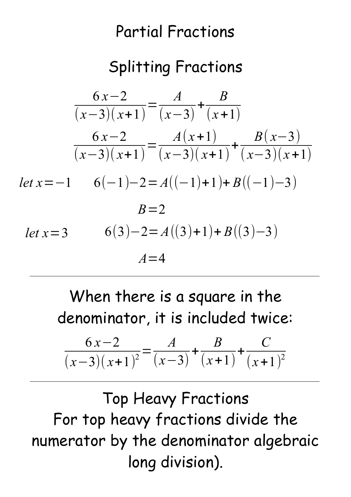## Partial Fractions

## Splitting Fractions

$$
\frac{6x-2}{(x-3)(x+1)} = \frac{A}{(x-3)} + \frac{B}{(x+1)}
$$
  

$$
\frac{6x-2}{(x-3)(x+1)} = \frac{A(x+1)}{(x-3)(x+1)} + \frac{B(x-3)}{(x-3)(x+1)}
$$
  
let x=-1 6(-1)-2=A((-1)+1)+B((-1)-3)  
B=2  
let x=3 6(3)-2=A((3)+1)+B((3)-3)  
A=4

When there is a square in the denominator, it is included twice:

$$
\frac{6x-2}{(x-3)(x+1)^2} = \frac{A}{(x-3)} + \frac{B}{(x+1)} + \frac{C}{(x+1)^2}
$$

Top Heavy Fractions For top heavy fractions divide the numerator by the denominator algebraic long division).